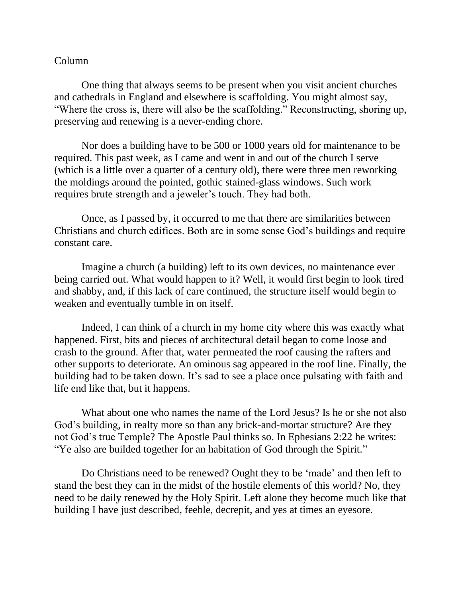## Column

One thing that always seems to be present when you visit ancient churches and cathedrals in England and elsewhere is scaffolding. You might almost say, "Where the cross is, there will also be the scaffolding." Reconstructing, shoring up, preserving and renewing is a never-ending chore.

Nor does a building have to be 500 or 1000 years old for maintenance to be required. This past week, as I came and went in and out of the church I serve (which is a little over a quarter of a century old), there were three men reworking the moldings around the pointed, gothic stained-glass windows. Such work requires brute strength and a jeweler's touch. They had both.

Once, as I passed by, it occurred to me that there are similarities between Christians and church edifices. Both are in some sense God's buildings and require constant care.

Imagine a church (a building) left to its own devices, no maintenance ever being carried out. What would happen to it? Well, it would first begin to look tired and shabby, and, if this lack of care continued, the structure itself would begin to weaken and eventually tumble in on itself.

Indeed, I can think of a church in my home city where this was exactly what happened. First, bits and pieces of architectural detail began to come loose and crash to the ground. After that, water permeated the roof causing the rafters and other supports to deteriorate. An ominous sag appeared in the roof line. Finally, the building had to be taken down. It's sad to see a place once pulsating with faith and life end like that, but it happens.

What about one who names the name of the Lord Jesus? Is he or she not also God's building, in realty more so than any brick-and-mortar structure? Are they not God's true Temple? The Apostle Paul thinks so. In Ephesians 2:22 he writes: "Ye also are builded together for an habitation of God through the Spirit."

Do Christians need to be renewed? Ought they to be 'made' and then left to stand the best they can in the midst of the hostile elements of this world? No, they need to be daily renewed by the Holy Spirit. Left alone they become much like that building I have just described, feeble, decrepit, and yes at times an eyesore.